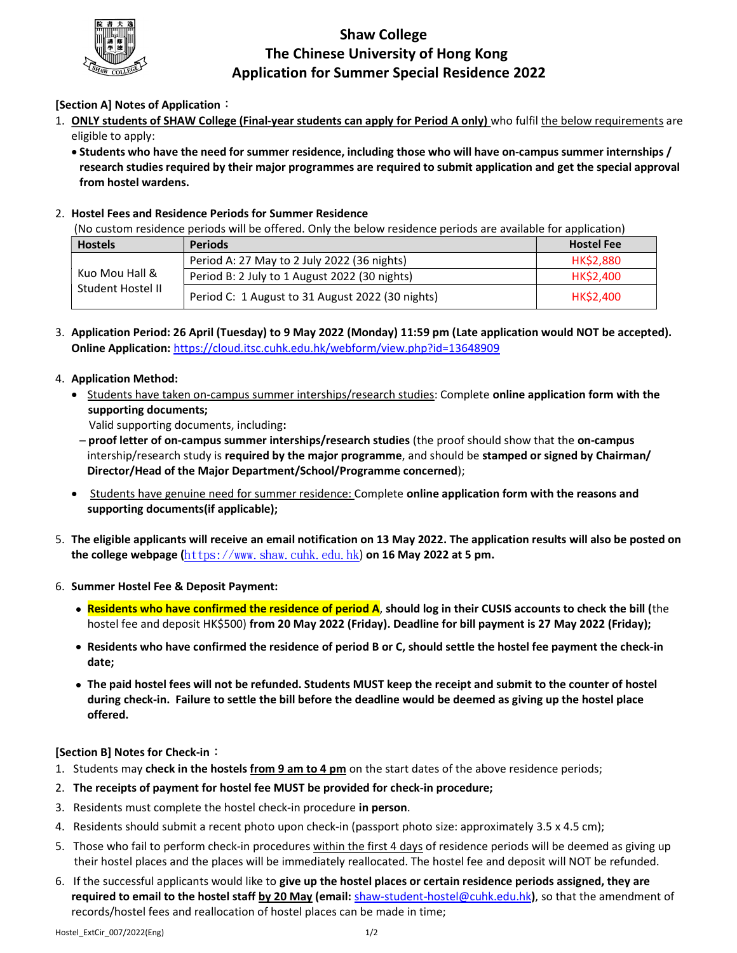

# Shaw College The Chinese University of Hong Kong Application for Summer Special Residence 2022

# [Section A] Notes of Application:

- 1. ONLY students of SHAW College (Final-year students can apply for Period A only) who fulfil the below requirements are eligible to apply:
	- Students who have the need for summer residence, including those who will have on-campus summer internships / research studies required by their major programmes are required to submit application and get the special approval from hostel wardens.

## 2. Hostel Fees and Residence Periods for Summer Residence

(No custom residence periods will be offered. Only the below residence periods are available for application)

| <b>Hostels</b>                      | <b>Periods</b>                                   | <b>Hostel Fee</b> |
|-------------------------------------|--------------------------------------------------|-------------------|
| Kuo Mou Hall &<br>Student Hostel II | Period A: 27 May to 2 July 2022 (36 nights)      | HK\$2,880         |
|                                     | Period B: 2 July to 1 August 2022 (30 nights)    | <b>HK\$2,400</b>  |
|                                     | Period C: 1 August to 31 August 2022 (30 nights) | HK\$2,400         |

3. Application Period: 26 April (Tuesday) to 9 May 2022 (Monday) 11:59 pm (Late application would NOT be accepted). Online Application: https://cloud.itsc.cuhk.edu.hk/webform/view.php?id=13648909

#### 4. Application Method:

**Students have taken on-campus summer interships/research studies: Complete online application form with the** supporting documents;

Valid supporting documents, including:

- proof letter of on-campus summer interships/research studies (the proof should show that the on-campus intership/research study is required by the major programme, and should be stamped or signed by Chairman/ Director/Head of the Major Department/School/Programme concerned);
- Students have genuine need for summer residence: Complete online application form with the reasons and supporting documents(if applicable);
- 5. The eligible applicants will receive an email notification on 13 May 2022. The application results will also be posted on the college webpage  $(htts://www. shaw. cuhk. edu. hk)$  on 16 May 2022 at 5 pm.
- 6. Summer Hostel Fee & Deposit Payment:
	- Residents who have confirmed the residence of period A, should log in their CUSIS accounts to check the bill (the hostel fee and deposit HK\$500) from 20 May 2022 (Friday). Deadline for bill payment is 27 May 2022 (Friday);
	- Residents who have confirmed the residence of period B or C, should settle the hostel fee payment the check-in date;
	- The paid hostel fees will not be refunded. Students MUST keep the receipt and submit to the counter of hostel during check-in. Failure to settle the bill before the deadline would be deemed as giving up the hostel place offered.

## **[Section B] Notes for Check-in:**

- 1. Students may check in the hostels from 9 am to 4 pm on the start dates of the above residence periods;
- 2. The receipts of payment for hostel fee MUST be provided for check-in procedure;
- 3. Residents must complete the hostel check-in procedure in person.
- 4. Residents should submit a recent photo upon check-in (passport photo size: approximately 3.5 x 4.5 cm);
- 5. Those who fail to perform check-in procedures within the first 4 days of residence periods will be deemed as giving up their hostel places and the places will be immediately reallocated. The hostel fee and deposit will NOT be refunded.
- 6. If the successful applicants would like to give up the hostel places or certain residence periods assigned, they are required to email to the hostel staff by 20 May (email: shaw-student-hostel@cuhk.edu.hk), so that the amendment of records/hostel fees and reallocation of hostel places can be made in time;